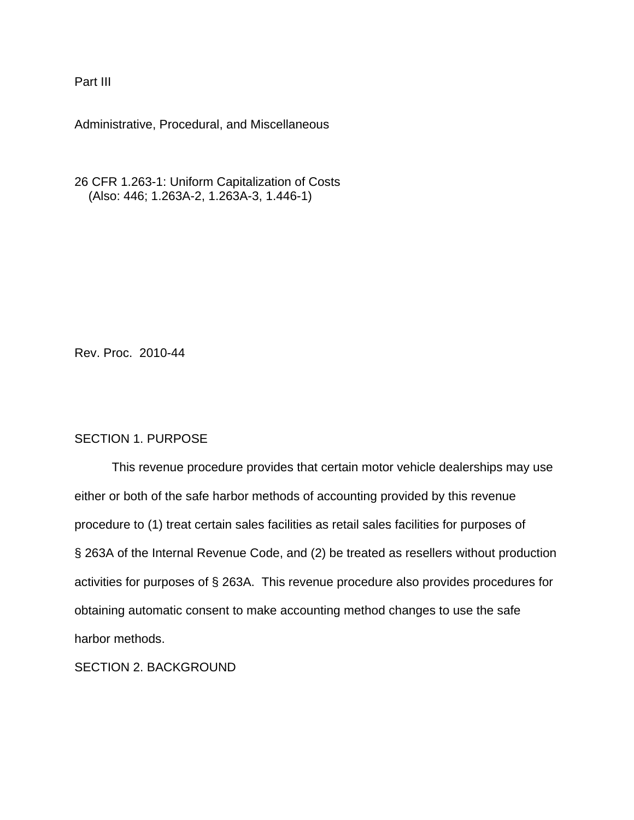Part III

Administrative, Procedural, and Miscellaneous

26 CFR 1.263-1: Uniform Capitalization of Costs (Also: 446; 1.263A-2, 1.263A-3, 1.446-1)

Rev. Proc. 2010-44

## SECTION 1. PURPOSE

This revenue procedure provides that certain motor vehicle dealerships may use either or both of the safe harbor methods of accounting provided by this revenue procedure to (1) treat certain sales facilities as retail sales facilities for purposes of § 263A of the Internal Revenue Code, and (2) be treated as resellers without production activities for purposes of § 263A. This revenue procedure also provides procedures for obtaining automatic consent to make accounting method changes to use the safe harbor methods.

SECTION 2. BACKGROUND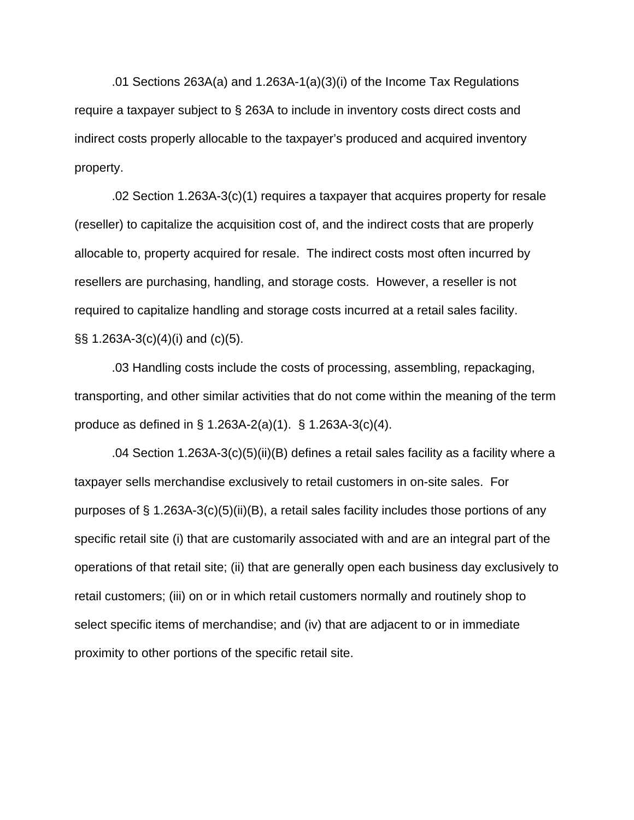.01 Sections 263A(a) and 1.263A-1(a)(3)(i) of the Income Tax Regulations require a taxpayer subject to § 263A to include in inventory costs direct costs and indirect costs properly allocable to the taxpayer's produced and acquired inventory property.

.02 Section 1.263A-3(c)(1) requires a taxpayer that acquires property for resale (reseller) to capitalize the acquisition cost of, and the indirect costs that are properly allocable to, property acquired for resale. The indirect costs most often incurred by resellers are purchasing, handling, and storage costs. However, a reseller is not required to capitalize handling and storage costs incurred at a retail sales facility. §§ 1.263A-3(c)(4)(i) and (c)(5).

.03 Handling costs include the costs of processing, assembling, repackaging, transporting, and other similar activities that do not come within the meaning of the term produce as defined in § 1.263A-2(a)(1). § 1.263A-3(c)(4).

.04 Section 1.263A-3(c)(5)(ii)(B) defines a retail sales facility as a facility where a taxpayer sells merchandise exclusively to retail customers in on-site sales. For purposes of § 1.263A-3(c)(5)(ii)(B), a retail sales facility includes those portions of any specific retail site (i) that are customarily associated with and are an integral part of the operations of that retail site; (ii) that are generally open each business day exclusively to retail customers; (iii) on or in which retail customers normally and routinely shop to select specific items of merchandise; and (iv) that are adjacent to or in immediate proximity to other portions of the specific retail site.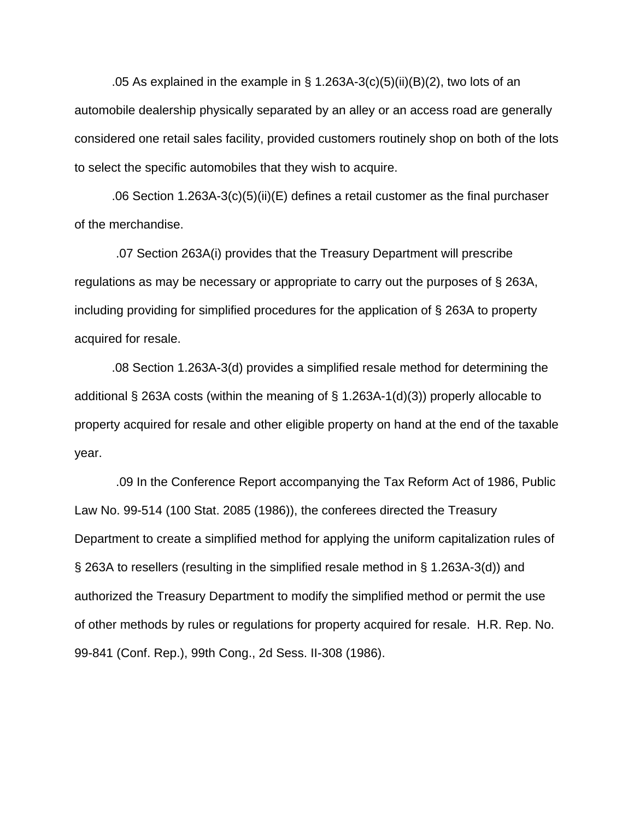.05 As explained in the example in  $\S$  1.263A-3(c)(5)(ii)(B)(2), two lots of an automobile dealership physically separated by an alley or an access road are generally considered one retail sales facility, provided customers routinely shop on both of the lots to select the specific automobiles that they wish to acquire.

.06 Section 1.263A-3(c)(5)(ii)(E) defines a retail customer as the final purchaser of the merchandise.

 .07 Section 263A(i) provides that the Treasury Department will prescribe regulations as may be necessary or appropriate to carry out the purposes of § 263A, including providing for simplified procedures for the application of § 263A to property acquired for resale.

.08 Section 1.263A-3(d) provides a simplified resale method for determining the additional § 263A costs (within the meaning of § 1.263A-1(d)(3)) properly allocable to property acquired for resale and other eligible property on hand at the end of the taxable year.

 .09 In the Conference Report accompanying the Tax Reform Act of 1986, Public Law No. 99-514 (100 Stat. 2085 (1986)), the conferees directed the Treasury Department to create a simplified method for applying the uniform capitalization rules of § 263A to resellers (resulting in the simplified resale method in § 1.263A-3(d)) and authorized the Treasury Department to modify the simplified method or permit the use of other methods by rules or regulations for property acquired for resale. H.R. Rep. No. 99-841 (Conf. Rep.), 99th Cong., 2d Sess. II-308 (1986).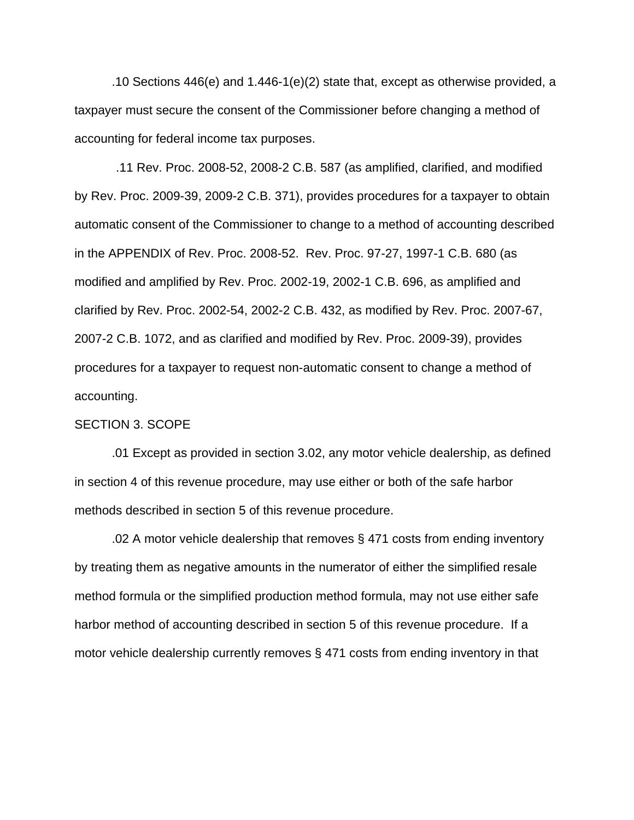.10 Sections 446(e) and 1.446-1(e)(2) state that, except as otherwise provided, a taxpayer must secure the consent of the Commissioner before changing a method of accounting for federal income tax purposes.

 .11 Rev. Proc. 2008-52, 2008-2 C.B. 587 (as amplified, clarified, and modified by Rev. Proc. 2009-39, 2009-2 C.B. 371), provides procedures for a taxpayer to obtain automatic consent of the Commissioner to change to a method of accounting described in the APPENDIX of Rev. Proc. 2008-52. Rev. Proc. 97-27, 1997-1 C.B. 680 (as modified and amplified by Rev. Proc. 2002-19, 2002-1 C.B. 696, as amplified and clarified by Rev. Proc. 2002-54, 2002-2 C.B. 432, as modified by Rev. Proc. 2007-67, 2007-2 C.B. 1072, and as clarified and modified by Rev. Proc. 2009-39), provides procedures for a taxpayer to request non-automatic consent to change a method of accounting.

#### SECTION 3. SCOPE

.01 Except as provided in section 3.02, any motor vehicle dealership, as defined in section 4 of this revenue procedure, may use either or both of the safe harbor methods described in section 5 of this revenue procedure.

.02 A motor vehicle dealership that removes § 471 costs from ending inventory by treating them as negative amounts in the numerator of either the simplified resale method formula or the simplified production method formula, may not use either safe harbor method of accounting described in section 5 of this revenue procedure. If a motor vehicle dealership currently removes § 471 costs from ending inventory in that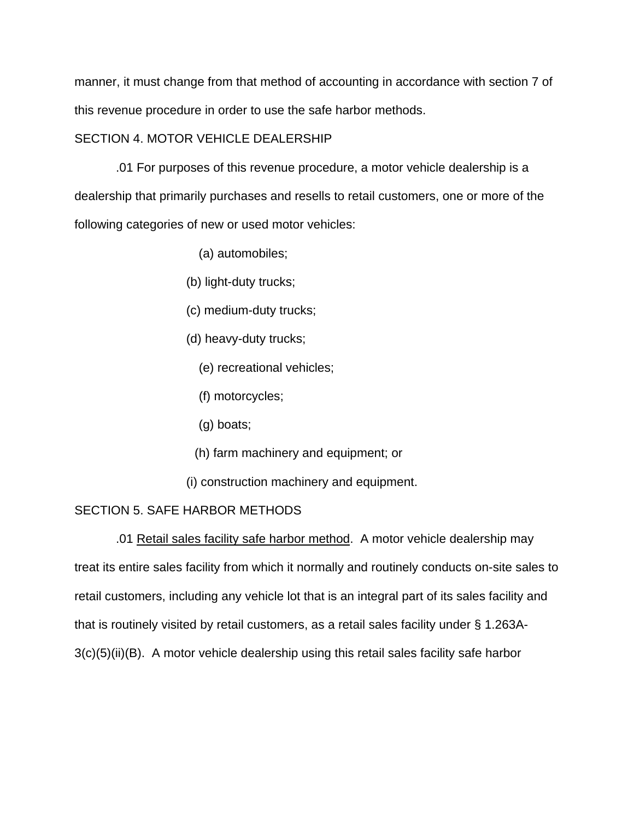manner, it must change from that method of accounting in accordance with section 7 of this revenue procedure in order to use the safe harbor methods.

## SECTION 4. MOTOR VEHICLE DEALERSHIP

 .01 For purposes of this revenue procedure, a motor vehicle dealership is a dealership that primarily purchases and resells to retail customers, one or more of the following categories of new or used motor vehicles:

- (a) automobiles;
- (b) light-duty trucks;
- (c) medium-duty trucks;
- (d) heavy-duty trucks;
	- (e) recreational vehicles;
	- (f) motorcycles;
	- (g) boats;
	- (h) farm machinery and equipment; or
- (i) construction machinery and equipment.

## SECTION 5. SAFE HARBOR METHODS

 .01 Retail sales facility safe harbor method. A motor vehicle dealership may treat its entire sales facility from which it normally and routinely conducts on-site sales to retail customers, including any vehicle lot that is an integral part of its sales facility and that is routinely visited by retail customers, as a retail sales facility under § 1.263A-3(c)(5)(ii)(B). A motor vehicle dealership using this retail sales facility safe harbor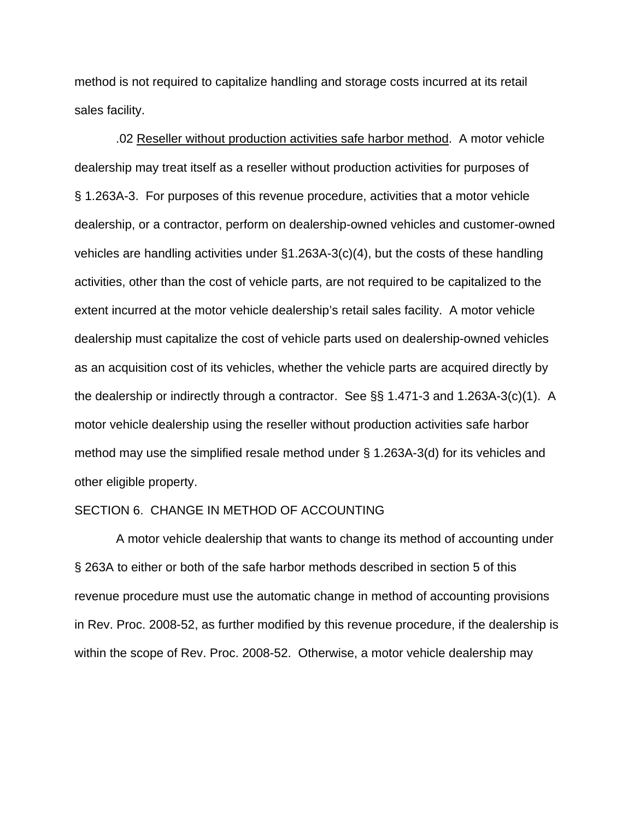method is not required to capitalize handling and storage costs incurred at its retail sales facility.

 .02 Reseller without production activities safe harbor method. A motor vehicle dealership may treat itself as a reseller without production activities for purposes of § 1.263A-3. For purposes of this revenue procedure, activities that a motor vehicle dealership, or a contractor, perform on dealership-owned vehicles and customer-owned vehicles are handling activities under §1.263A-3(c)(4), but the costs of these handling activities, other than the cost of vehicle parts, are not required to be capitalized to the extent incurred at the motor vehicle dealership's retail sales facility. A motor vehicle dealership must capitalize the cost of vehicle parts used on dealership-owned vehicles as an acquisition cost of its vehicles, whether the vehicle parts are acquired directly by the dealership or indirectly through a contractor. See §§ 1.471-3 and 1.263A-3(c)(1). A motor vehicle dealership using the reseller without production activities safe harbor method may use the simplified resale method under § 1.263A-3(d) for its vehicles and other eligible property.

## SECTION 6. CHANGE IN METHOD OF ACCOUNTING

 A motor vehicle dealership that wants to change its method of accounting under § 263A to either or both of the safe harbor methods described in section 5 of this revenue procedure must use the automatic change in method of accounting provisions in Rev. Proc. 2008-52, as further modified by this revenue procedure, if the dealership is within the scope of Rev. Proc. 2008-52. Otherwise, a motor vehicle dealership may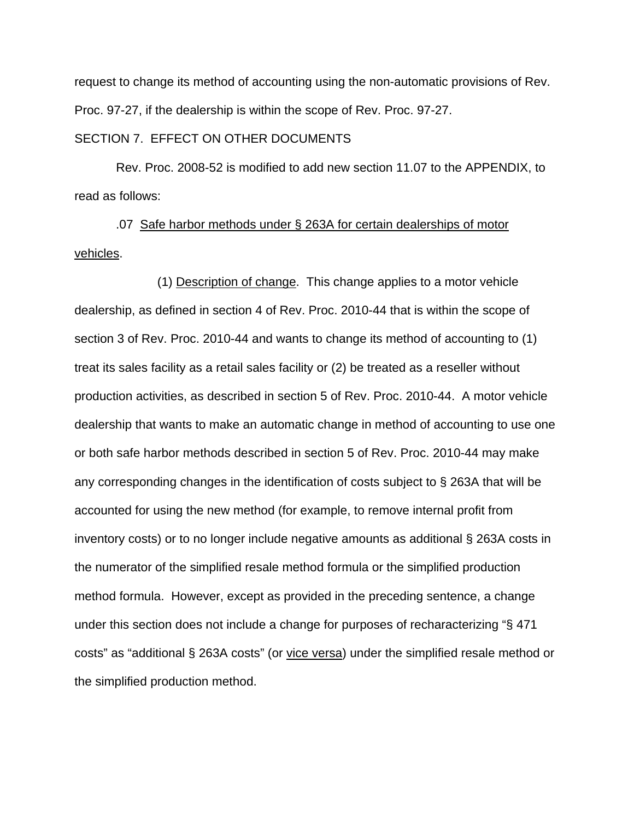request to change its method of accounting using the non-automatic provisions of Rev. Proc. 97-27, if the dealership is within the scope of Rev. Proc. 97-27.

# SECTION 7. EFFECT ON OTHER DOCUMENTS

 Rev. Proc. 2008-52 is modified to add new section 11.07 to the APPENDIX, to read as follows:

 .07 Safe harbor methods under § 263A for certain dealerships of motor vehicles.

 (1) Description of change. This change applies to a motor vehicle dealership, as defined in section 4 of Rev. Proc. 2010-44 that is within the scope of section 3 of Rev. Proc. 2010-44 and wants to change its method of accounting to (1) treat its sales facility as a retail sales facility or (2) be treated as a reseller without production activities, as described in section 5 of Rev. Proc. 2010-44. A motor vehicle dealership that wants to make an automatic change in method of accounting to use one or both safe harbor methods described in section 5 of Rev. Proc. 2010-44 may make any corresponding changes in the identification of costs subject to § 263A that will be accounted for using the new method (for example, to remove internal profit from inventory costs) or to no longer include negative amounts as additional § 263A costs in the numerator of the simplified resale method formula or the simplified production method formula. However, except as provided in the preceding sentence, a change under this section does not include a change for purposes of recharacterizing "§ 471 costs" as "additional § 263A costs" (or vice versa) under the simplified resale method or the simplified production method.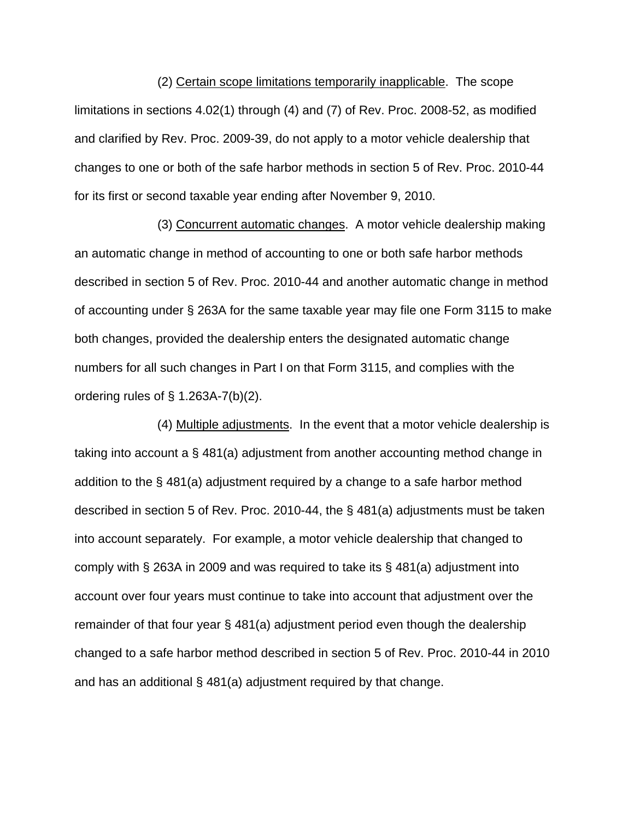(2) Certain scope limitations temporarily inapplicable. The scope limitations in sections 4.02(1) through (4) and (7) of Rev. Proc. 2008-52, as modified and clarified by Rev. Proc. 2009-39, do not apply to a motor vehicle dealership that changes to one or both of the safe harbor methods in section 5 of Rev. Proc. 2010-44 for its first or second taxable year ending after November 9, 2010.

 (3) Concurrent automatic changes. A motor vehicle dealership making an automatic change in method of accounting to one or both safe harbor methods described in section 5 of Rev. Proc. 2010-44 and another automatic change in method of accounting under § 263A for the same taxable year may file one Form 3115 to make both changes, provided the dealership enters the designated automatic change numbers for all such changes in Part I on that Form 3115, and complies with the ordering rules of  $\S$  1.263A-7(b)(2).

 (4) Multiple adjustments. In the event that a motor vehicle dealership is taking into account a § 481(a) adjustment from another accounting method change in addition to the § 481(a) adjustment required by a change to a safe harbor method described in section 5 of Rev. Proc. 2010-44, the § 481(a) adjustments must be taken into account separately. For example, a motor vehicle dealership that changed to comply with § 263A in 2009 and was required to take its § 481(a) adjustment into account over four years must continue to take into account that adjustment over the remainder of that four year § 481(a) adjustment period even though the dealership changed to a safe harbor method described in section 5 of Rev. Proc. 2010-44 in 2010 and has an additional § 481(a) adjustment required by that change.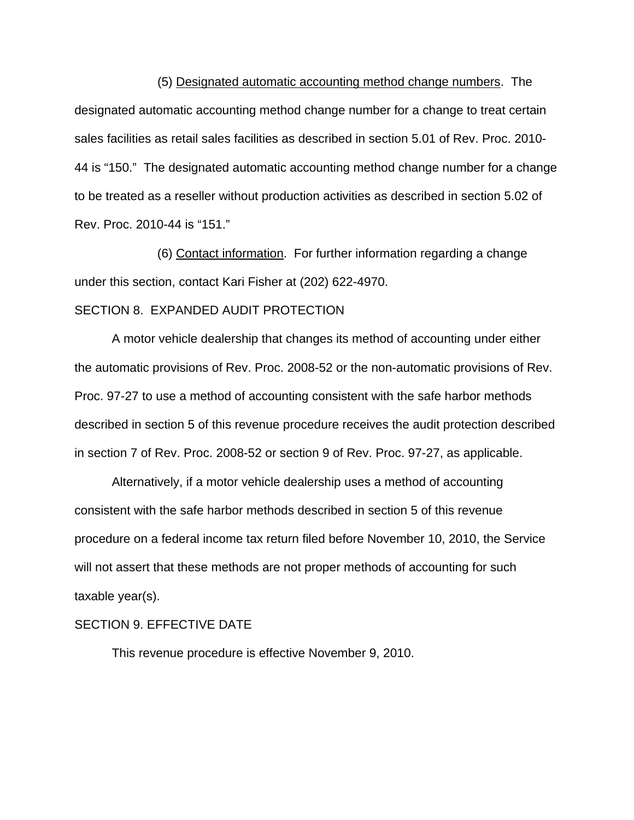(5) Designated automatic accounting method change numbers. The designated automatic accounting method change number for a change to treat certain sales facilities as retail sales facilities as described in section 5.01 of Rev. Proc. 2010- 44 is "150." The designated automatic accounting method change number for a change to be treated as a reseller without production activities as described in section 5.02 of Rev. Proc. 2010-44 is "151."

 (6) Contact information. For further information regarding a change under this section, contact Kari Fisher at (202) 622-4970.

## SECTION 8. EXPANDED AUDIT PROTECTION

A motor vehicle dealership that changes its method of accounting under either the automatic provisions of Rev. Proc. 2008-52 or the non-automatic provisions of Rev. Proc. 97-27 to use a method of accounting consistent with the safe harbor methods described in section 5 of this revenue procedure receives the audit protection described in section 7 of Rev. Proc. 2008-52 or section 9 of Rev. Proc. 97-27, as applicable.

Alternatively, if a motor vehicle dealership uses a method of accounting consistent with the safe harbor methods described in section 5 of this revenue procedure on a federal income tax return filed before November 10, 2010, the Service will not assert that these methods are not proper methods of accounting for such taxable year(s).

### SECTION 9. EFFECTIVE DATE

This revenue procedure is effective November 9, 2010.